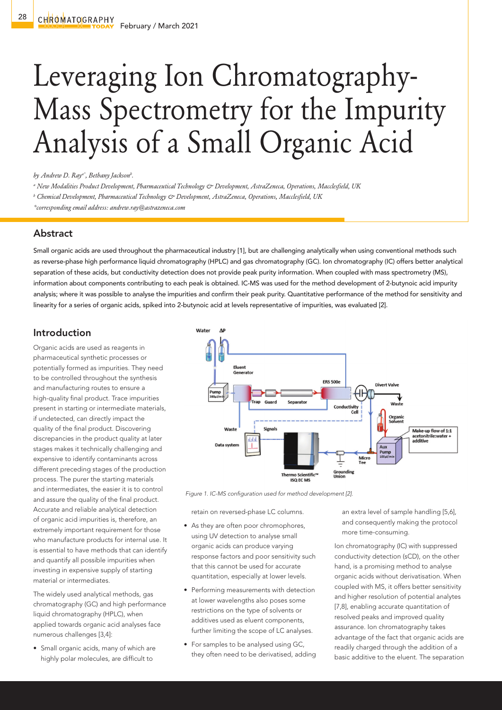# Leveraging Ion Chromatography-Mass Spectrometry for the Impurity Analysis of a Small Organic Acid

*by Andrew D. Raya\*, Bethany Jacksonb .*

*a New Modalities Product Development, Pharmaceutical Technology & Development, AstraZeneca, Operations, Macclesfield, UK*

*b Chemical Development, Pharmaceutical Technology & Development, AstraZeneca, Operations, Macclesfield, UK*

*\*corresponding email address: andrew.ray@astrazeneca.com*

### Abstract

Small organic acids are used throughout the pharmaceutical industry [1], but are challenging analytically when using conventional methods such as reverse-phase high performance liquid chromatography (HPLC) and gas chromatography (GC). Ion chromatography (IC) offers better analytical separation of these acids, but conductivity detection does not provide peak purity information. When coupled with mass spectrometry (MS), information about components contributing to each peak is obtained. IC-MS was used for the method development of 2-butynoic acid impurity analysis; where it was possible to analyse the impurities and confirm their peak purity. Quantitative performance of the method for sensitivity and linearity for a series of organic acids, spiked into 2-butynoic acid at levels representative of impurities, was evaluated [2].

## Introduction

Organic acids are used as reagents in pharmaceutical synthetic processes or potentially formed as impurities. They need to be controlled throughout the synthesis and manufacturing routes to ensure a high-quality final product. Trace impurities present in starting or intermediate materials, if undetected, can directly impact the quality of the final product. Discovering discrepancies in the product quality at later stages makes it technically challenging and expensive to identify contaminants across different preceding stages of the production process. The purer the starting materials and intermediates, the easier it is to control and assure the quality of the final product. Accurate and reliable analytical detection of organic acid impurities is, therefore, an extremely important requirement for those who manufacture products for internal use. It is essential to have methods that can identify and quantify all possible impurities when investing in expensive supply of starting material or intermediates.

The widely used analytical methods, gas chromatography (GC) and high performance liquid chromatography (HPLC), when applied towards organic acid analyses face numerous challenges [3,4]:

• Small organic acids, many of which are highly polar molecules, are difficult to



 *Figure 1. IC-MS configuration used for method development [2].*

retain on reversed-phase LC columns.

- As they are often poor chromophores, using UV detection to analyse small organic acids can produce varying response factors and poor sensitivity such that this cannot be used for accurate quantitation, especially at lower levels.
- Performing measurements with detection at lower wavelengths also poses some restrictions on the type of solvents or additives used as eluent components, further limiting the scope of LC analyses.
- For samples to be analysed using GC, they often need to be derivatised, adding

an extra level of sample handling [5,6], and consequently making the protocol more time-consuming.

Ion chromatography (IC) with suppressed conductivity detection (sCD), on the other hand, is a promising method to analyse organic acids without derivatisation. When coupled with MS, it offers better sensitivity and higher resolution of potential analytes [7,8], enabling accurate quantitation of resolved peaks and improved quality assurance. Ion chromatography takes advantage of the fact that organic acids are readily charged through the addition of a basic additive to the eluent. The separation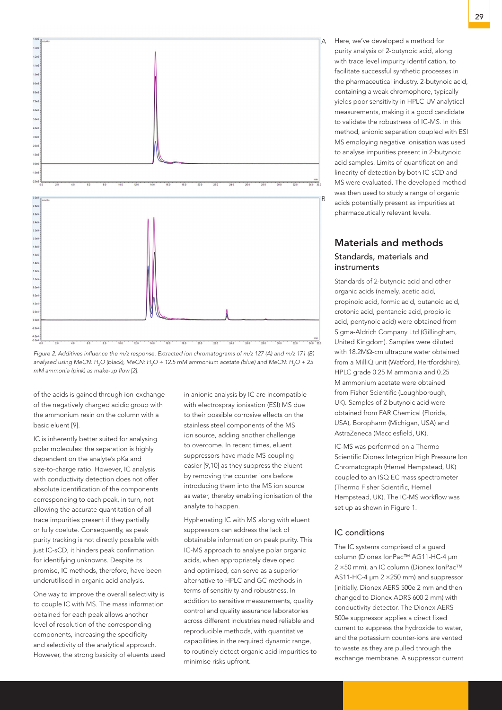

*Figure 2. Additives influence the m/z response. Extracted ion chromatograms of m/z 127 (A) and m/z 171 (B) analysed using MeCN: H2 O (black), MeCN: H2 O + 12.5 mM ammonium acetate (blue) and MeCN: H2 O + 25 mM ammonia (pink) as make-up flow [2].*

of the acids is gained through ion-exchange of the negatively charged acidic group with the ammonium resin on the column with a basic eluent [9].

IC is inherently better suited for analysing polar molecules: the separation is highly dependent on the analyte's pKa and size-to-charge ratio. However, IC analysis with conductivity detection does not offer absolute identification of the components corresponding to each peak, in turn, not allowing the accurate quantitation of all trace impurities present if they partially or fully coelute. Consequently, as peak purity tracking is not directly possible with just IC-sCD, it hinders peak confirmation for identifying unknowns. Despite its promise, IC methods, therefore, have been underutilised in organic acid analysis.

One way to improve the overall selectivity is to couple IC with MS. The mass information obtained for each peak allows another level of resolution of the corresponding components, increasing the specificity and selectivity of the analytical approach. However, the strong basicity of eluents used

in anionic analysis by IC are incompatible with electrospray ionisation (ESI) MS due to their possible corrosive effects on the stainless steel components of the MS ion source, adding another challenge to overcome. In recent times, eluent suppressors have made MS coupling easier [9,10] as they suppress the eluent by removing the counter ions before introducing them into the MS ion source as water, thereby enabling ionisation of the analyte to happen.

Hyphenating IC with MS along with eluent suppressors can address the lack of obtainable information on peak purity. This IC-MS approach to analyse polar organic acids, when appropriately developed and optimised, can serve as a superior alternative to HPLC and GC methods in terms of sensitivity and robustness. In addition to sensitive measurements, quality control and quality assurance laboratories across different industries need reliable and reproducible methods, with quantitative capabilities in the required dynamic range, to routinely detect organic acid impurities to minimise risks upfront.

Here, we've developed a method for purity analysis of 2-butynoic acid, along with trace level impurity identification, to facilitate successful synthetic processes in the pharmaceutical industry. 2-butynoic acid, containing a weak chromophore, typically yields poor sensitivity in HPLC-UV analytical measurements, making it a good candidate to validate the robustness of IC-MS. In this method, anionic separation coupled with ESI MS employing negative ionisation was used to analyse impurities present in 2-butynoic acid samples. Limits of quantification and linearity of detection by both IC-sCD and MS were evaluated. The developed method was then used to study a range of organic acids potentially present as impurities at pharmaceutically relevant levels.

## Materials and methods Standards, materials and

## instruments

Standards of 2-butynoic acid and other organic acids (namely, acetic acid, propinoic acid, formic acid, butanoic acid, crotonic acid, pentanoic acid, propiolic acid, pentynoic acid) were obtained from Sigma-Aldrich Company Ltd (Gillingham, United Kingdom). Samples were diluted with 18.2MΩ-cm ultrapure water obtained from a MilliQ unit (Watford, Hertfordshire). HPLC grade 0.25 M ammonia and 0.25 M ammonium acetate were obtained from Fisher Scientific (Loughborough, UK). Samples of 2-butynoic acid were obtained from FAR Chemical (Florida, USA), Boropharm (Michigan, USA) and AstraZeneca (Macclesfield, UK).

IC-MS was performed on a Thermo Scientific Dionex Integrion High Pressure Ion Chromatograph (Hemel Hempstead, UK) coupled to an ISQ EC mass spectrometer (Thermo Fisher Scientific, Hemel Hempstead, UK). The IC-MS workflow was set up as shown in Figure 1.

#### IC conditions

The IC systems comprised of a guard column (Dionex IonPac™ AG11-HC-4 μm 2 ×50 mm), an IC column (Dionex IonPac™ AS11-HC-4 μm 2 ×250 mm) and suppressor (initially, Dionex AERS 500e 2 mm and then changed to Dionex ADRS 600 2 mm) with conductivity detector. The Dionex AERS 500e suppressor applies a direct fixed current to suppress the hydroxide to water, and the potassium counter-ions are vented to waste as they are pulled through the exchange membrane. A suppressor current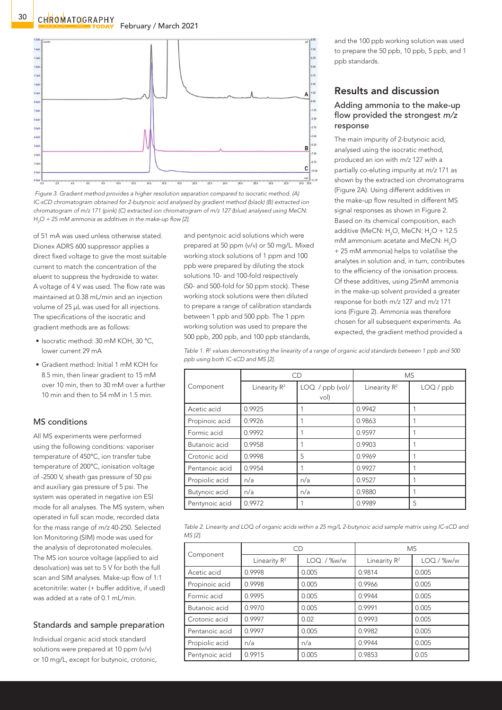



of 51 mA was used unless otherwise stated. Dionex ADRS 600 suppressor applies a direct fixed voltage to give the most suitable current to match the concentration of the eluent to suppress the hydroxide to water. A voltage of 4 V was used. The flow rate was maintained at 0.38 mL/min and an injection volume of 25 μL was used for all injections. The specifications of the isocratic and gradient methods are as follows:

- Isocratic method: 30 mM KOH, 30 °C, lower current 29 mA
- Gradient method: Initial 1 mM KOH for 8.5 min, then linear gradient to 15 mM over 10 min, then to 30 mM over a further 10 min and then to 54 mM in 1.5 min.

## MS conditions

All MS experiments were performed using the following conditions: vaporiser temperature of 450°C, ion transfer tube temperature of 200°C, ionisation voltage of -2500 V, sheath gas pressure of 50 psi and auxiliary gas pressure of 5 psi. The system was operated in negative ion ESI mode for all analyses. The MS system, when operated in full scan mode, recorded data for the mass range of *m/z* 40-250. Selected Ion Monitoring (SIM) mode was used for the analysis of deprotonated molecules. The MS ion source voltage (applied to aid desolvation) was set to 5 V for both the full scan and SIM analyses. Make-up flow of 1:1 acetonitrile: water (+ buffer additive, if used) was added at a rate of  $0.1$  mL/min.

#### Standards and sample preparation

Individual organic acid stock standard solutions were prepared at 10 ppm (v/v) or 10 mg/L, except for butynoic, crotonic, and pentynoic acid solutions which were prepared at 50 ppm (v/v) or 50 mg/L. Mixed working stock solutions of 1 ppm and 100 ppb were prepared by diluting the stock solutions 10- and 100-fold respectively (50- and 500-fold for 50 ppm stock). These working stock solutions were then diluted to prepare a range of calibration standards between 1 ppb and 500 ppb. The 1 ppm working solution was used to prepare the 500 ppb, 200 ppb, and 100 ppb standards,

and the 100 ppb working solution was used to prepare the 50 ppb, 10 ppb, 5 ppb, and 1 ppb standards.

## Results and discussion

#### Adding ammonia to the make-up flow provided the strongest *m/z*  response

The main impurity of 2-butynoic acid, analysed using the isocratic method, produced an ion with *m/z* 127 with a partially co-eluting impurity at *m/z* 171 as shown by the extracted ion chromatograms (Figure 2A). Using different additives in the make-up flow resulted in different MS signal responses as shown in Figure 2. Based on its chemical composition, each additive (MeCN:  $H_2O$ , MeCN:  $H_2O + 12.5$ mM ammonium acetate and MeCN:  $H_2O$ + 25 mM ammonia) helps to volatilise the analytes in solution and, in turn, contributes to the efficiency of the ionisation process. Of these additives, using 25mM ammonia in the make-up solvent provided a greater response for both *m/z* 127 and *m/z* 171 ions (Figure 2). Ammonia was therefore chosen for all subsequent experiments. As expected, the gradient method provided a

*Table 1. R2 values demonstrating the linearity of a range of organic acid standards between 1 ppb and 500 ppb using both IC-sCD and MS [2].*

|                | CD              |                         | <b>MS</b>                |           |
|----------------|-----------------|-------------------------|--------------------------|-----------|
| Component      | Linearity $R^2$ | LOQ / ppb (vol/<br>vol) | Linearity R <sup>2</sup> | LOQ / ppb |
| Acetic acid    | 0.9925          |                         | 0.9942                   |           |
| Propinoic acid | 0.9926          |                         | 0.9863                   |           |
| Formic acid    | 0.9992          |                         | 0.9597                   |           |
| Butanoic acid  | 0.9958          |                         | 0.9903                   |           |
| Crotonic acid  | 0.9998          | 5                       | 0.9969                   |           |
| Pentanoic acid | 0.9954          |                         | 0.9927                   |           |
| Propiolic acid | n/a             | n/a                     | 0.9527                   |           |
| Butynoic acid  | n/a             | n/a                     | 0.9880                   |           |
| Pentynoic acid | 0.9972          |                         | 0.9989                   | 5         |

| Table 2. Linearity and LOQ of organic acids within a 25 mg/L 2-butynoic acid sample matrix using IC-sCD and |  |
|-------------------------------------------------------------------------------------------------------------|--|
| MS [2].                                                                                                     |  |

| Component      | CD              |            | <b>MS</b>       |            |
|----------------|-----------------|------------|-----------------|------------|
|                | Linearity $R^2$ | LOQ / %w/w | Linearity $R^2$ | LOQ / %w/w |
| Acetic acid    | 0.9998          | 0.005      | 0.9814          | 0.005      |
| Propinoic acid | 0.9998          | 0.005      | 0.9966          | 0.005      |
| Formic acid    | 0.9995          | 0.005      | 0.9944          | 0.005      |
| Butanoic acid  | 0.9970          | 0.005      | 0.9991          | 0.005      |
| Crotonic acid  | 0.9997          | 0.02       | 0.9993          | 0.005      |
| Pentanoic acid | 0.9997          | 0.005      | 0.9982          | 0.005      |
| Propiolic acid | n/a             | n/a        | 0.9944          | 0.005      |
| Pentynoic acid | 0.9915          | 0.005      | 0.9853          | 0.05       |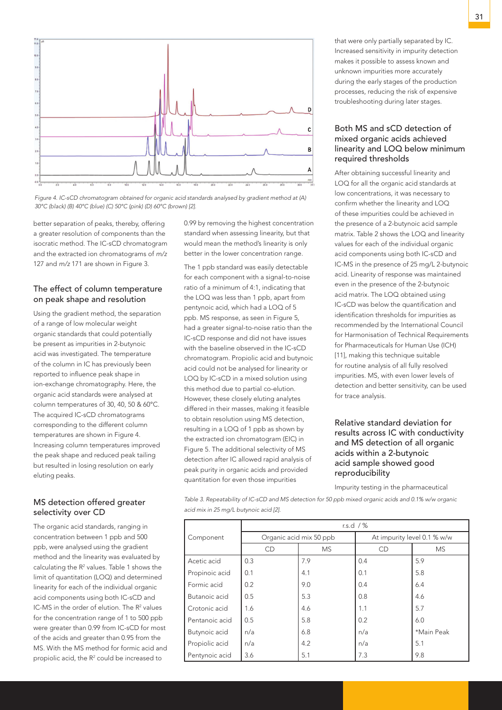

*Figure 4. IC-sCD chromatogram obtained for organic acid standards analysed by gradient method at (A) 30°C (black) (B) 40°C (blue) (C) 50°C (pink) (D) 60°C (brown) [2].*

better separation of peaks, thereby, offering a greater resolution of components than the isocratic method. The IC-sCD chromatogram and the extracted ion chromatograms of *m/z*  127 and *m/z* 171 are shown in Figure 3.

#### The effect of column temperature on peak shape and resolution

Using the gradient method, the separation of a range of low molecular weight organic standards that could potentially be present as impurities in 2-butynoic acid was investigated. The temperature of the column in IC has previously been reported to influence peak shape in ion-exchange chromatography. Here, the organic acid standards were analysed at column temperatures of 30, 40, 50 & 60°C. The acquired IC-sCD chromatograms corresponding to the different column temperatures are shown in Figure 4. Increasing column temperatures improved the peak shape and reduced peak tailing but resulted in losing resolution on early eluting peaks.

#### MS detection offered greater selectivity over CD

The organic acid standards, ranging in concentration between 1 ppb and 500 ppb, were analysed using the gradient method and the linearity was evaluated by calculating the  $R<sup>2</sup>$  values. Table 1 shows the limit of quantitation (LOQ) and determined linearity for each of the individual organic acid components using both IC-sCD and IC-MS in the order of elution. The  $R<sup>2</sup>$  values for the concentration range of 1 to 500 ppb were greater than 0.99 from IC-sCD for most of the acids and greater than 0.95 from the MS. With the MS method for formic acid and propiolic acid, the R<sup>2</sup> could be increased to

0.99 by removing the highest concentration standard when assessing linearity, but that would mean the method's linearity is only better in the lower concentration range.

The 1 ppb standard was easily detectable for each component with a signal-to-noise ratio of a minimum of 4:1, indicating that the LOQ was less than 1 ppb, apart from pentynoic acid, which had a LOQ of 5 ppb. MS response, as seen in Figure 5, had a greater signal-to-noise ratio than the IC-sCD response and did not have issues with the baseline observed in the IC-sCD chromatogram. Propiolic acid and butynoic acid could not be analysed for linearity or LOQ by IC-sCD in a mixed solution using this method due to partial co-elution. However, these closely eluting analytes differed in their masses, making it feasible to obtain resolution using MS detection, resulting in a LOQ of 1 ppb as shown by the extracted ion chromatogram (EIC) in Figure 5. The additional selectivity of MS detection after IC allowed rapid analysis of peak purity in organic acids and provided quantitation for even those impurities

that were only partially separated by IC. Increased sensitivity in impurity detection makes it possible to assess known and unknown impurities more accurately during the early stages of the production processes, reducing the risk of expensive troubleshooting during later stages.

#### Both MS and sCD detection of mixed organic acids achieved linearity and LOQ below minimum required thresholds

After obtaining successful linearity and LOQ for all the organic acid standards at low concentrations, it was necessary to confirm whether the linearity and LOQ of these impurities could be achieved in the presence of a 2-butynoic acid sample matrix. Table 2 shows the LOQ and linearity values for each of the individual organic acid components using both IC-sCD and IC-MS in the presence of 25 mg/L 2-butynoic acid. Linearity of response was maintained even in the presence of the 2-butynoic acid matrix. The LOQ obtained using IC-sCD was below the quantification and identification thresholds for impurities as recommended by the International Council for Harmonisation of Technical Requirements for Pharmaceuticals for Human Use (ICH) [11], making this technique suitable for routine analysis of all fully resolved impurities. MS, with even lower levels of detection and better sensitivity, can be used for trace analysis.

#### Relative standard deviation for results across IC with conductivity and MS detection of all organic acids within a 2-butynoic acid sample showed good reproducibility

Impurity testing in the pharmaceutical

*Table 3. Repeatability of IC-sCD and MS detection for 50 ppb mixed organic acids and 0.1% w/w organic acid mix in 25 mg/L butynoic acid [2].*

|                | r.s.d $/$ %             |           |                             |            |
|----------------|-------------------------|-----------|-----------------------------|------------|
| Component      | Organic acid mix 50 ppb |           | At impurity level 0.1 % w/w |            |
|                | CD                      | <b>MS</b> | CD                          | <b>MS</b>  |
| Acetic acid    | 0.3                     | 7.9       | 0.4                         | 5.9        |
| Propinoic acid | 0.1                     | 4.1       | 0.1                         | 5.8        |
| Formic acid    | 0.2                     | 9.0       | 0.4                         | 6.4        |
| Butanoic acid  | 0.5                     | 5.3       | 0.8                         | 4.6        |
| Crotonic acid  | 1.6                     | 4.6       | 1.1                         | 5.7        |
| Pentanoic acid | 0.5                     | 5.8       | 0.2                         | 6.0        |
| Butynoic acid  | n/a                     | 6.8       | n/a                         | *Main Peak |
| Propiolic acid | n/a                     | 4.2       | n/a                         | 5.1        |
| Pentynoic acid | 3.6                     | 5.1       | 7.3                         | 9.8        |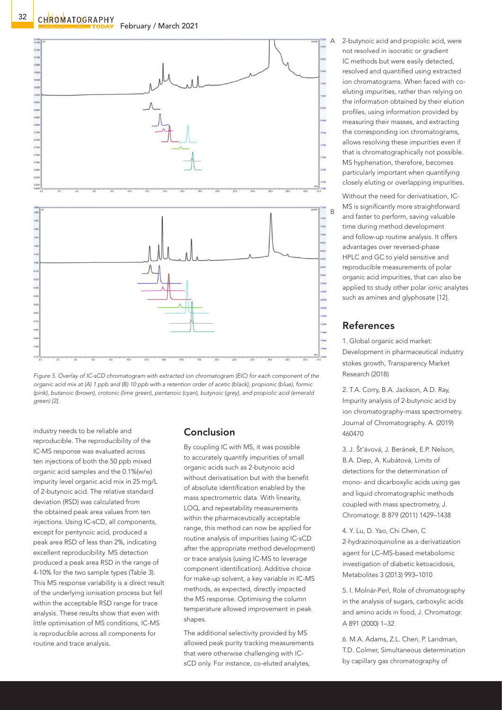



industry needs to be reliable and reproducible. The reproducibility of the IC-MS response was evaluated across ten injections of both the 50 ppb mixed organic acid samples and the 0.1%(w/w) impurity level organic acid mix in 25 mg/L of 2-butynoic acid. The relative standard deviation (RSD) was calculated from the obtained peak area values from ten injections. Using IC-sCD, all components, except for pentynoic acid, produced a peak area RSD of less than 2%, indicating excellent reproducibility. MS detection produced a peak area RSD in the range of 4-10% for the two sample types (Table 3). This MS response variability is a direct result of the underlying ionisation process but fell within the acceptable RSD range for trace analysis. These results show that even with little optimisation of MS conditions, IC-MS is reproducible across all components for routine and trace analysis.

## Conclusion

By coupling IC with MS, it was possible to accurately quantify impurities of small organic acids such as 2-butynoic acid without derivatisation but with the benefit of absolute identification enabled by the mass spectrometric data. With linearity, LOQ, and repeatability measurements within the pharmaceutically acceptable range, this method can now be applied for routine analysis of impurities (using IC-sCD after the appropriate method development) or trace analysis (using IC-MS to leverage component identification). Additive choice for make-up solvent, a key variable in IC-MS methods, as expected, directly impacted the MS response. Optimising the column temperature allowed improvement in peak shapes.

The additional selectivity provided by MS allowed peak purity tracking measurements that were otherwise challenging with ICsCD only. For instance, co-eluted analytes,

2-butynoic acid and propiolic acid, were not resolved in isocratic or gradient IC methods but were easily detected, resolved and quantified using extracted ion chromatograms. When faced with coeluting impurities, rather than relying on the information obtained by their elution profiles, using information provided by measuring their masses, and extracting the corresponding ion chromatograms, allows resolving these impurities even if that is chromatographically not possible. MS hyphenation, therefore, becomes particularly important when quantifying closely eluting or overlapping impurities.

Without the need for derivatisation, IC-MS is significantly more straightforward and faster to perform, saving valuable time during method development and follow-up routine analysis. It offers advantages over reversed-phase HPLC and GC to yield sensitive and reproducible measurements of polar organic acid impurities, that can also be applied to study other polar ionic analytes such as amines and glyphosate [12].

## References

1. Global organic acid market: Development in pharmaceutical industry stokes growth, Transparency Market Research (2018)

2. T.A. Corry, B.A. Jackson, A.D. Ray, Impurity analysis of 2-butynoic acid by ion chromatography-mass spectrometry. Journal of Chromatography. A. (2019) 460470

3. J. Št'ávová, J. Beránek, E.P. Nelson, B.A. Diep, A. Kubátová, Limits of detections for the determination of mono- and dicarboxylic acids using gas and liquid chromatographic methods coupled with mass spectrometry, J. Chromatogr. B 879 (2011) 1429–1438

4. Y. Lu, D. Yao, Chi Chen, C 2-hydrazinoquinoline as a derivatization agent for LC–MS-based metabolomic investigation of diabetic ketoacidosis, Metabolites 3 (2013) 993–1010

5. I. Molnár-Perl, Role of chromatography in the analysis of sugars, carboxylic acids and amino acids in food, J. Chromatogr. A 891 (2000) 1–32

6. M.A. Adams, Z.L. Chen, P. Landman, T.D. Colmer, Simultaneous determination by capillary gas chromatography of